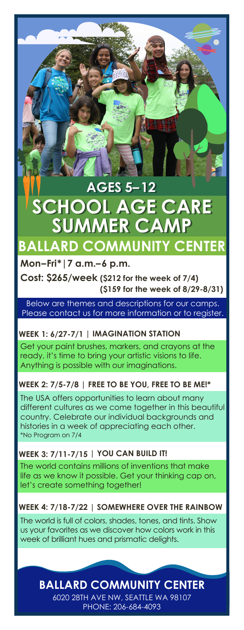# **SUMMER CAMP SUMMER CAMP AGES 5–12 AGES 5–12 SCHOOL AGE CARE SCHOOL AGE CARE**

# **Mon–Fri\*|7 a.m.–6 p.m. BALLARD COMMUNITY CENTER**

**Cost: \$265/week (\$212 for the week of 7/4) (\$159 for the week of 8/29-8/31)**

Below are themes and descriptions for our camps. Please contact us for more information or to register.

### **WEEK 1: 6/27-7/1 | IMAGINATION STATION**

Get your paint brushes, markers, and crayons at the ready, it's time to bring your artistic visions to life. Anything is possible with our imaginations.

### **WEEK 2: 7/5-7/8 | FREE TO BE YOU, FREE TO BE ME!\***

\*No Program on 7/4 The USA offers opportunities to learn about many different cultures as we come together in this beautiful country. Celebrate our individual backgrounds and histories in a week of appreciating each other.

### **WEEK 3: 7/11-7/15 | YOU CAN BUILD IT!**

The world contains millions of inventions that make life as we know it possible. Get your thinking cap on, let's create something together!

### **WEEK 4: 7/18-7/22 | SOMEWHERE OVER THE RAINBOW**

The world is full of colors, shades, tones, and tints. Show us your favorites as we discover how colors work in this week of brilliant hues and prismatic delights.

## 6020 28TH AVE NW, SEATTLE WA 98107 **BALLARD COMMUNITY CENTER**

PHONE: 206-684-4093